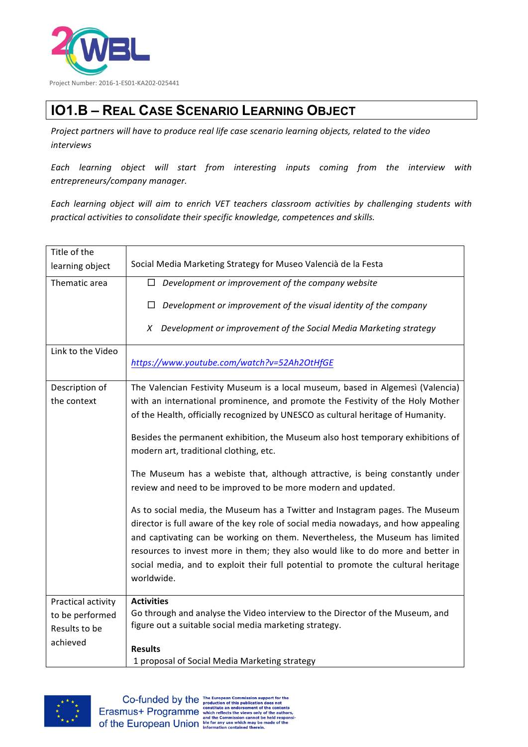

## **IO1.B – REAL CASE SCENARIO LEARNING OBJECT**

Project partners will have to produce real life case scenario learning objects, related to the video *interviews*

*Each learning object will start from interesting inputs coming from the interview with entrepreneurs/company manager.*

Each learning object will aim to enrich VET teachers classroom activities by challenging students with *practical activities to consolidate their specific knowledge, competences and skills.*

| Title of the       |                                                                                    |
|--------------------|------------------------------------------------------------------------------------|
| learning object    | Social Media Marketing Strategy for Museo Valencià de la Festa                     |
| Thematic area      | Development or improvement of the company website<br>$\Box$                        |
|                    | Development or improvement of the visual identity of the company<br>$\Box$         |
|                    | Development or improvement of the Social Media Marketing strategy<br>X             |
| Link to the Video  |                                                                                    |
|                    | https://www.youtube.com/watch?v=52Ah2OtHfGE                                        |
| Description of     | The Valencian Festivity Museum is a local museum, based in Algemesì (Valencia)     |
| the context        | with an international prominence, and promote the Festivity of the Holy Mother     |
|                    | of the Health, officially recognized by UNESCO as cultural heritage of Humanity.   |
|                    |                                                                                    |
|                    | Besides the permanent exhibition, the Museum also host temporary exhibitions of    |
|                    | modern art, traditional clothing, etc.                                             |
|                    | The Museum has a webiste that, although attractive, is being constantly under      |
|                    | review and need to be improved to be more modern and updated.                      |
|                    | As to social media, the Museum has a Twitter and Instagram pages. The Museum       |
|                    | director is full aware of the key role of social media nowadays, and how appealing |
|                    | and captivating can be working on them. Nevertheless, the Museum has limited       |
|                    | resources to invest more in them; they also would like to do more and better in    |
|                    | social media, and to exploit their full potential to promote the cultural heritage |
|                    | worldwide.                                                                         |
|                    |                                                                                    |
| Practical activity | <b>Activities</b>                                                                  |
| to be performed    | Go through and analyse the Video interview to the Director of the Museum, and      |
| Results to be      | figure out a suitable social media marketing strategy.                             |
| achieved           |                                                                                    |
|                    | <b>Results</b>                                                                     |
|                    | 1 proposal of Social Media Marketing strategy                                      |